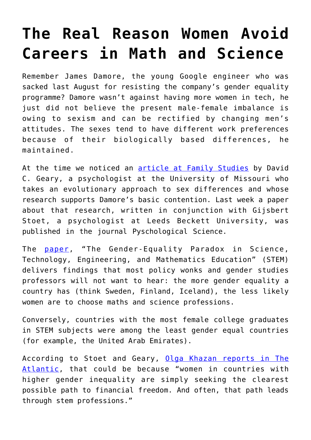## **[The Real Reason Women Avoid](https://intellectualtakeout.org/2018/03/the-real-reason-women-avoid-careers-in-math-and-science/) [Careers in Math and Science](https://intellectualtakeout.org/2018/03/the-real-reason-women-avoid-careers-in-math-and-science/)**

Remember James Damore, the young Google engineer who was sacked last August for resisting the company's gender equality programme? Damore wasn't against having more women in tech, he just did not believe the present male-female imbalance is owing to sexism and can be rectified by changing men's attitudes. The sexes tend to have different work preferences because of their biologically based differences, he maintained.

At the time we noticed an [article at Family Studies](https://ifstudies.org/blog/straight-talk-about-sex-differences-in-occupational-choices-and-work-family-tradeoffs) by David C. Geary, a psychologist at the University of Missouri who takes an evolutionary approach to sex differences and whose research supports Damore's basic contention. Last week a paper about that research, written in conjunction with Gijsbert Stoet, a psychologist at Leeds Beckett University, was published in the journal Pyschological Science.

The [paper](http://journals.sagepub.com/doi/abs/10.1177/0956797617741719?journalCode=pssa), "The Gender-Equality Paradox in Science, Technology, Engineering, and Mathematics Education" (STEM) delivers findings that most policy wonks and gender studies professors will not want to hear: the more gender equality a country has (think Sweden, Finland, Iceland), the less likely women are to choose maths and science professions.

Conversely, countries with the most female college graduates in STEM subjects were among the least gender equal countries (for example, the United Arab Emirates).

According to Stoet and Geary, [Olga Khazan reports in The](https://www.theatlantic.com/science/archive/2018/02/the-more-gender-equality-the-fewer-women-in-stem/553592/) [Atlantic](https://www.theatlantic.com/science/archive/2018/02/the-more-gender-equality-the-fewer-women-in-stem/553592/), that could be because "women in countries with higher gender inequality are simply seeking the clearest possible path to financial freedom. And often, that path leads through stem professions."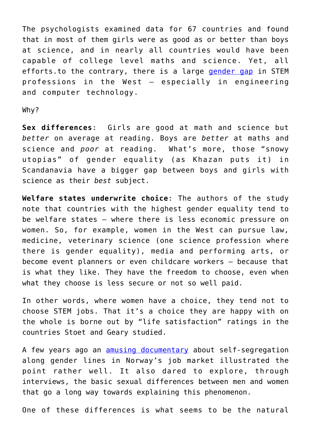The psychologists examined data for 67 countries and found that in most of them girls were as good as or better than boys at science, and in nearly all countries would have been capable of college level maths and science. Yet, all efforts.to the contrary, there is a large [gender gap](http://www.noceilings.org/stem/) in STEM professions in the West — especially in engineering and computer technology.

Why?

**Sex differences**: Girls are good at math and science but *better* on average at reading. Boys are *better* at maths and science and *poor* at reading. What's more, those "snowy utopias" of gender equality (as Khazan puts it) in Scandanavia have a bigger gap between boys and girls with science as their *best* subject.

**Welfare states underwrite choice**: The authors of the study note that countries with the highest gender equality tend to be welfare states — where there is less economic pressure on women. So, for example, women in the West can pursue law, medicine, veterinary science (one science profession where there is gender equality), media and performing arts, or become event planners or even childcare workers — because that is what they like. They have the freedom to choose, even when what they choose is less secure or not so well paid.

In other words, where women have a choice, they tend not to choose STEM jobs. That it's a choice they are happy with on the whole is borne out by "life satisfaction" ratings in the countries Stoet and Geary studied.

A few years ago an **[amusing documentary](https://www.youtube.com/watch?v=p5LRdW8xw70)** about self-segregation along gender lines in Norway's job market illustrated the point rather well. It also dared to explore, through interviews, the basic sexual differences between men and women that go a long way towards explaining this phenomenon.

One of these differences is what seems to be the natural